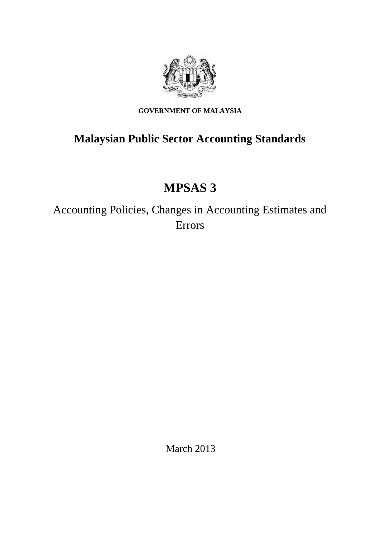

**GOVERNMENT OF MALAYSIA**

# **Malaysian Public Sector Accounting Standards**

# **MPSAS 3**

Accounting Policies, Changes in Accounting Estimates and Errors

March 2013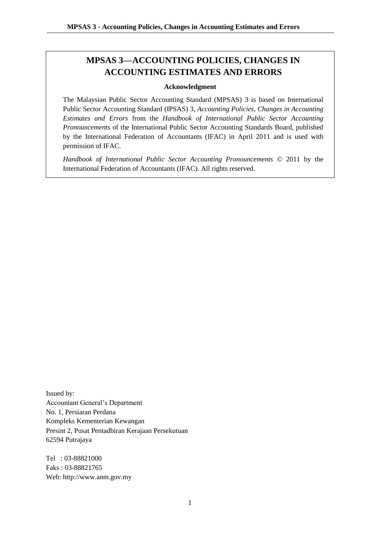## **MPSAS 3—ACCOUNTING POLICIES, CHANGES IN ACCOUNTING ESTIMATES AND ERRORS**

#### **Acknowledgment**

The Malaysian Public Sector Accounting Standard (MPSAS) 3 is based on International Public Sector Accounting Standard (IPSAS) 3, *Accounting Policies, Changes in Accounting Estimates and Errors* from the *Handbook of International Public Sector Accounting Pronouncements* of the International Public Sector Accounting Standards Board, published by the International Federation of Accountants (IFAC) in April 2011 and is used with permission of IFAC.

*Handbook of International Public Sector Accounting Pronouncements* © 2011 by the International Federation of Accountants (IFAC). All rights reserved.

Issued by: Accountant General's Department No. 1, Persiaran Perdana Kompleks Kementerian Kewangan Presint 2, Pusat Pentadbiran Kerajaan Persekutuan 62594 Putrajaya

Tel : 03-88821000 Faks : 03-88821765 Web: http://www.anm.gov.my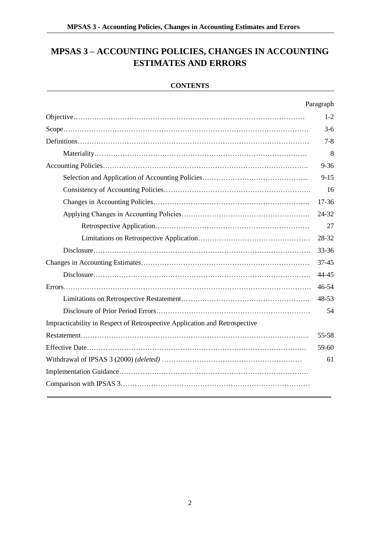## **MPSAS 3 – ACCOUNTING POLICIES, CHANGES IN ACCOUNTING ESTIMATES AND ERRORS**

#### **CONTENTS**

|                                                                            | Paragraph |
|----------------------------------------------------------------------------|-----------|
|                                                                            | $1-2$     |
|                                                                            | $3 - 6$   |
|                                                                            | $7 - 8$   |
|                                                                            | 8         |
|                                                                            | $9 - 36$  |
|                                                                            | $9 - 15$  |
|                                                                            | 16        |
|                                                                            | 17-36     |
|                                                                            | 24-32     |
|                                                                            | 27        |
|                                                                            | 28-32     |
|                                                                            | 33-36     |
|                                                                            | 37-45     |
|                                                                            | 44-45     |
|                                                                            | 46-54     |
|                                                                            | 48-53     |
|                                                                            | 54        |
| Impracticability in Respect of Retrospective Application and Retrospective |           |
|                                                                            | 55-58     |
|                                                                            | 59-60     |
|                                                                            | 61        |
|                                                                            |           |
|                                                                            |           |
|                                                                            |           |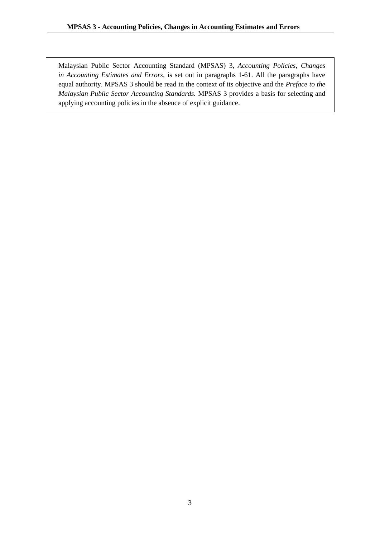Malaysian Public Sector Accounting Standard (MPSAS) 3, *Accounting Policies, Changes in Accounting Estimates and Errors,* is set out in paragraphs 1-61. All the paragraphs have equal authority. MPSAS 3 should be read in the context of its objective and the *Preface to the Malaysian Public Sector Accounting Standards.* MPSAS 3 provides a basis for selecting and applying accounting policies in the absence of explicit guidance.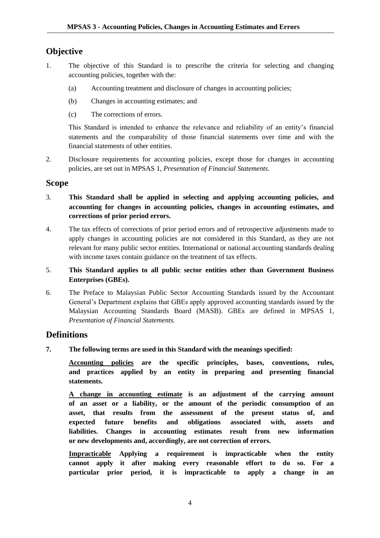## **Objective**

- 1. The objective of this Standard is to prescribe the criteria for selecting and changing accounting policies, together with the:
	- (a) Accounting treatment and disclosure of changes in accounting policies;
	- (b) Changes in accounting estimates; and
	- (c) The corrections of errors.

This Standard is intended to enhance the relevance and reliability of an entity's financial statements and the comparability of those financial statements over time and with the financial statements of other entities.

2. Disclosure requirements for accounting policies, except those for changes in accounting policies, are set out in MPSAS 1, *Presentation of Financial Statements*.

## **Scope**

- 3. **This Standard shall be applied in selecting and applying accounting policies, and accounting for changes in accounting policies, changes in accounting estimates, and corrections of prior period errors.**
- 4. The tax effects of corrections of prior period errors and of retrospective adjustments made to apply changes in accounting policies are not considered in this Standard, as they are not relevant for many public sector entities. International or national accounting standards dealing with income taxes contain guidance on the treatment of tax effects.

#### 5. **This Standard applies to all public sector entities other than Government Business Enterprises (GBEs).**

6. The Preface to Malaysian Public Sector Accounting Standards issued by the Accountant General's Department explains that GBEs apply approved accounting standards issued by the Malaysian Accounting Standards Board (MASB). GBEs are defined in MPSAS 1, *Presentation of Financial Statements.*

## **Definitions**

**7. The following terms are used in this Standard with the meanings specified:**

**Accounting policies are the specific principles, bases, conventions, rules, and practices applied by an entity in preparing and presenting financial statements.** 

**A change in accounting estimate is an adjustment of the carrying amount of an asset or a liability, or the amount of the periodic consumption of an asset, that results from the assessment of the present status of, and expected future benefits and obligations associated with, assets and liabilities. Changes in accounting estimates result from new information or new developments and, accordingly, are not correction of errors.** 

**Impracticable Applying a requirement is impracticable when the entity cannot apply it after making every reasonable effort to do so. For a particular prior period, it is impracticable to apply a change in an**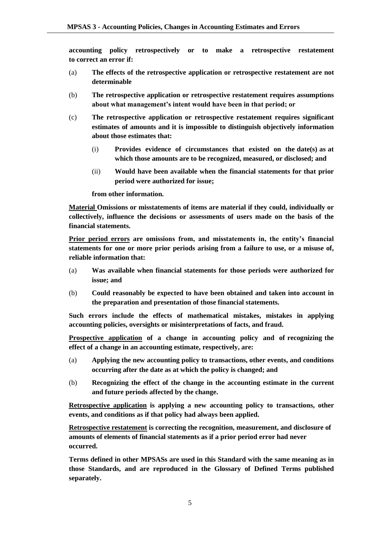**accounting policy retrospectively or to make a retrospective restatement to correct an error if:** 

- (a) **The effects of the retrospective application or retrospective restatement are not determinable**
- (b) **The retrospective application or retrospective restatement requires assumptions about what management's intent would have been in that period; or**
- (c) **The retrospective application or retrospective restatement requires significant estimates of amounts and it is impossible to distinguish objectively information about those estimates that:** 
	- (i) **Provides evidence of circumstances that existed on the date(s) as at which those amounts are to be recognized, measured, or disclosed; and**
	- (ii) **Would have been available when the financial statements for that prior period were authorized for issue;**

**from other information.** 

**Material Omissions or misstatements of items are material if they could, individually or collectively, influence the decisions or assessments of users made on the basis of the financial statements.**

**Prior period errors are omissions from, and misstatements in, the entity's financial statements for one or more prior periods arising from a failure to use, or a misuse of, reliable information that:** 

- (a) **Was available when financial statements for those periods were authorized for issue; and**
- (b) **Could reasonably be expected to have been obtained and taken into account in the preparation and presentation of those financial statements.**

**Such errors include the effects of mathematical mistakes, mistakes in applying accounting policies, oversights or misinterpretations of facts, and fraud.** 

**Prospective application of a change in accounting policy and of recognizing the effect of a change in an accounting estimate, respectively, are:** 

- (a) **Applying the new accounting policy to transactions, other events, and conditions occurring after the date as at which the policy is changed; and**
- (b) **Recognizing the effect of the change in the accounting estimate in the current and future periods affected by the change.**

**Retrospective application is applying a new accounting policy to transactions, other events, and conditions as if that policy had always been applied.** 

**Retrospective restatement is correcting the recognition, measurement, and disclosure of amounts of elements of financial statements as if a prior period error had never occurred.** 

**Terms defined in other MPSASs are used in this Standard with the same meaning as in those Standards, and are reproduced in the Glossary of Defined Terms published separately.**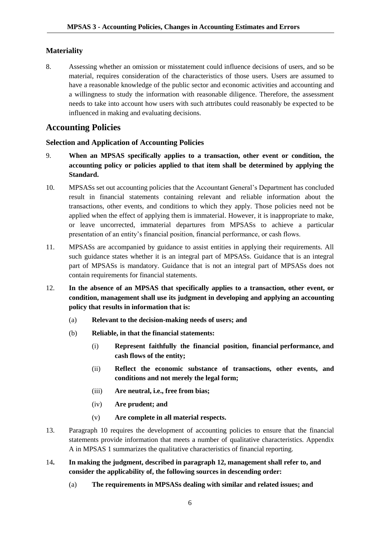#### **Materiality**

8. Assessing whether an omission or misstatement could influence decisions of users, and so be material, requires consideration of the characteristics of those users. Users are assumed to have a reasonable knowledge of the public sector and economic activities and accounting and a willingness to study the information with reasonable diligence. Therefore, the assessment needs to take into account how users with such attributes could reasonably be expected to be influenced in making and evaluating decisions.

## **Accounting Policies**

#### **Selection and Application of Accounting Policies**

- 9. **When an MPSAS specifically applies to a transaction, other event or condition, the accounting policy or policies applied to that item shall be determined by applying the Standard.**
- 10. MPSASs set out accounting policies that the Accountant General's Department has concluded result in financial statements containing relevant and reliable information about the transactions, other events, and conditions to which they apply. Those policies need not be applied when the effect of applying them is immaterial. However, it is inappropriate to make, or leave uncorrected, immaterial departures from MPSASs to achieve a particular presentation of an entity's financial position, financial performance, or cash flows.
- 11. MPSASs are accompanied by guidance to assist entities in applying their requirements. All such guidance states whether it is an integral part of MPSASs. Guidance that is an integral part of MPSASs is mandatory. Guidance that is not an integral part of MPSASs does not contain requirements for financial statements.
- 12. **In the absence of an MPSAS that specifically applies to a transaction, other event, or condition, management shall use its judgment in developing and applying an accounting policy that results in information that is:**
	- (a) **Relevant to the decision-making needs of users; and**
	- (b) **Reliable, in that the financial statements:**
		- (i) **Represent faithfully the financial position, financial performance, and cash flows of the entity;**
		- (ii) **Reflect the economic substance of transactions, other events, and conditions and not merely the legal form;**
		- (iii) **Are neutral, i.e., free from bias;**
		- (iv) **Are prudent; and**
		- (v) **Are complete in all material respects.**
- 13. Paragraph 10 requires the development of accounting policies to ensure that the financial statements provide information that meets a number of qualitative characteristics. Appendix A in MPSAS 1 summarizes the qualitative characteristics of financial reporting.
- 14**. In making the judgment, described in paragraph 12, management shall refer to, and consider the applicability of, the following sources in descending order:** 
	- (a) **The requirements in MPSASs dealing with similar and related issues; and**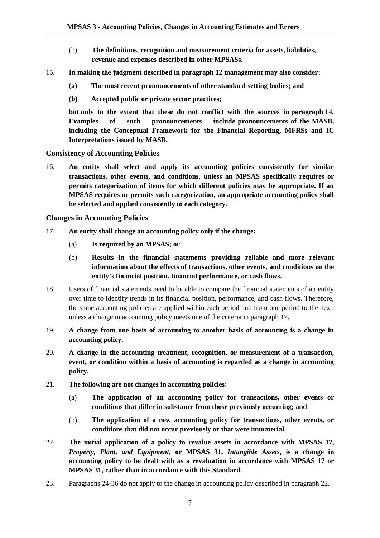- (b) **The definitions, recognition and measurement criteria for assets, liabilities, revenue and expenses described in other MPSASs.**
- 15. **In making the judgment described in paragraph 12 management may also consider:**
	- **(a) The most recent pronouncements of other standard-setting bodies; and**
	- **(b) Accepted public or private sector practices;**

**but only to the extent that these do not conflict with the sources in paragraph 14. Examples of such pronouncements include pronouncements of the MASB, including the Conceptual Framework for the Financial Reporting, MFRSs and IC Interpretations issued by MASB.**

#### **Consistency of Accounting Policies**

16. **An entity shall select and apply its accounting policies consistently for similar transactions, other events, and conditions, unless an MPSAS specifically requires or permits categorization of items for which different policies may be appropriate. If an MPSAS requires or permits such categorization, an appropriate accounting policy shall be selected and applied consistently to each category.** 

**Changes in Accounting Policies** 

- 17. **An entity shall change an accounting policy only if the change:**
	- (a) **Is required by an MPSAS; or**
	- (b) **Results in the financial statements providing reliable and more relevant information about the effects of transactions, other events, and conditions on the entity's financial position, financial performance, or cash flows.**
- 18. Users of financial statements need to be able to compare the financial statements of an entity over time to identify trends in its financial position, performance, and cash flows. Therefore, the same accounting policies are applied within each period and from one period to the next, unless a change in accounting policy meets one of the criteria in paragraph 17.
- 19. **A change from one basis of accounting to another basis of accounting is a change in accounting policy.**
- 20. **A change in the accounting treatment, recognition, or measurement of a transaction, event, or condition within a basis of accounting is regarded as a change in accounting policy.**
- 21. **The following are not changes in accounting policies:**
	- (a) **The application of an accounting policy for transactions, other events or conditions that differ in substance from those previously occurring; and**
	- (b) **The application of a new accounting policy for transactions, other events, or conditions that did not occur previously or that were immaterial.**
- 22. **The initial application of a policy to revalue assets in accordance with MPSAS 17,**  *Property, Plant, and Equipment***, or MPSAS 31,** *Intangible Assets***, is a change in accounting policy to be dealt with as a revaluation in accordance with MPSAS 17 or MPSAS 31, rather than in accordance with this Standard.**
- 23. Paragraphs 24-36 do not apply to the change in accounting policy described in paragraph 22.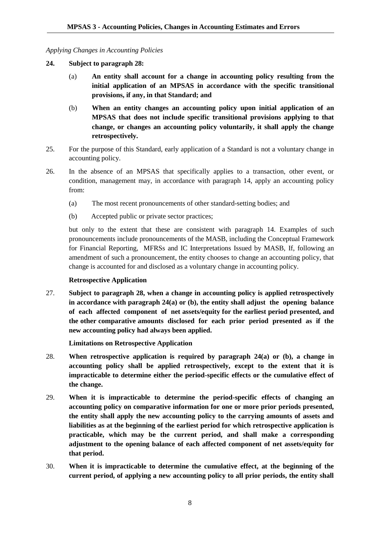#### *Applying Changes in Accounting Policies*

- **24. Subject to paragraph 28:**
	- (a) **An entity shall account for a change in accounting policy resulting from the initial application of an MPSAS in accordance with the specific transitional provisions, if any, in that Standard; and**
	- (b) **When an entity changes an accounting policy upon initial application of an MPSAS that does not include specific transitional provisions applying to that change, or changes an accounting policy voluntarily, it shall apply the change retrospectively.**
- 25. For the purpose of this Standard, early application of a Standard is not a voluntary change in accounting policy.
- 26. In the absence of an MPSAS that specifically applies to a transaction, other event, or condition, management may, in accordance with paragraph 14, apply an accounting policy from:
	- (a) The most recent pronouncements of other standard-setting bodies; and
	- (b) Accepted public or private sector practices;

but only to the extent that these are consistent with paragraph 14. Examples of such pronouncements include pronouncements of the MASB, including the Conceptual Framework for Financial Reporting, MFRSs and IC Interpretations Issued by MASB, If, following an amendment of such a pronouncement, the entity chooses to change an accounting policy, that change is accounted for and disclosed as a voluntary change in accounting policy.

#### **Retrospective Application**

27. **Subject to paragraph 28, when a change in accounting policy is applied retrospectively in accordance with paragraph 24(a) or (b), the entity shall adjust the opening balance of each affected component of net assets/equity for the earliest period presented, and the other comparative amounts disclosed for each prior period presented as if the new accounting policy had always been applied.** 

#### **Limitations on Retrospective Application**

- 28. **When retrospective application is required by paragraph 24(a) or (b), a change in accounting policy shall be applied retrospectively, except to the extent that it is impracticable to determine either the period-specific effects or the cumulative effect of the change.**
- 29. **When it is impracticable to determine the period-specific effects of changing an accounting policy on comparative information for one or more prior periods presented, the entity shall apply the new accounting policy to the carrying amounts of assets and liabilities as at the beginning of the earliest period for which retrospective application is practicable, which may be the current period, and shall make a corresponding adjustment to the opening balance of each affected component of net assets/equity for that period.**
- 30. **When it is impracticable to determine the cumulative effect, at the beginning of the current period, of applying a new accounting policy to all prior periods, the entity shall**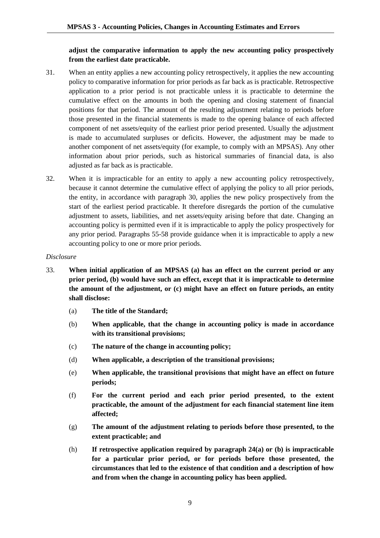#### **adjust the comparative information to apply the new accounting policy prospectively from the earliest date practicable.**

- 31. When an entity applies a new accounting policy retrospectively, it applies the new accounting policy to comparative information for prior periods as far back as is practicable. Retrospective application to a prior period is not practicable unless it is practicable to determine the cumulative effect on the amounts in both the opening and closing statement of financial positions for that period. The amount of the resulting adjustment relating to periods before those presented in the financial statements is made to the opening balance of each affected component of net assets/equity of the earliest prior period presented. Usually the adjustment is made to accumulated surpluses or deficits. However, the adjustment may be made to another component of net assets/equity (for example, to comply with an MPSAS). Any other information about prior periods, such as historical summaries of financial data, is also adjusted as far back as is practicable.
- 32. When it is impracticable for an entity to apply a new accounting policy retrospectively, because it cannot determine the cumulative effect of applying the policy to all prior periods, the entity, in accordance with paragraph 30, applies the new policy prospectively from the start of the earliest period practicable. It therefore disregards the portion of the cumulative adjustment to assets, liabilities, and net assets/equity arising before that date. Changing an accounting policy is permitted even if it is impracticable to apply the policy prospectively for any prior period. Paragraphs 55-58 provide guidance when it is impracticable to apply a new accounting policy to one or more prior periods.

#### *Disclosure*

- 33. **When initial application of an MPSAS (a) has an effect on the current period or any prior period, (b) would have such an effect, except that it is impracticable to determine the amount of the adjustment, or (c) might have an effect on future periods, an entity shall disclose:**
	- (a) **The title of the Standard;**
	- (b) **When applicable, that the change in accounting policy is made in accordance with its transitional provisions;**
	- (c) **The nature of the change in accounting policy;**
	- (d) **When applicable, a description of the transitional provisions;**
	- (e) **When applicable, the transitional provisions that might have an effect on future periods;**
	- (f) **For the current period and each prior period presented, to the extent practicable, the amount of the adjustment for each financial statement line item affected;**
	- (g) **The amount of the adjustment relating to periods before those presented, to the extent practicable; and**
	- (h) **If retrospective application required by paragraph 24(a) or (b) is impracticable for a particular prior period, or for periods before those presented, the circumstances that led to the existence of that condition and a description of how and from when the change in accounting policy has been applied.**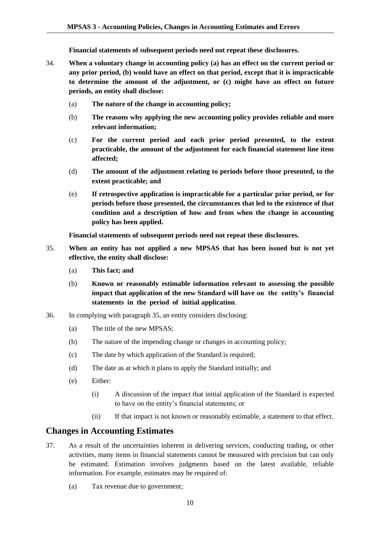**Financial statements of subsequent periods need not repeat these disclosures.** 

- 34. **When a voluntary change in accounting policy (a) has an effect on the current period or any prior period, (b) would have an effect on that period, except that it is impracticable to determine the amount of the adjustment, or (c) might have an effect on future periods, an entity shall disclose:** 
	- (a) **The nature of the change in accounting policy;**
	- (b) **The reasons why applying the new accounting policy provides reliable and more relevant information;**
	- (c) **For the current period and each prior period presented, to the extent practicable, the amount of the adjustment for each financial statement line item affected;**
	- (d) **The amount of the adjustment relating to periods before those presented, to the extent practicable; and**
	- (e) **If retrospective application is impracticable for a particular prior period, or for periods before those presented, the circumstances that led to the existence of that condition and a description of how and from when the change in accounting policy has been applied.**

**Financial statements of subsequent periods need not repeat these disclosures.** 

- 35. **When an entity has not applied a new MPSAS that has been issued but is not yet effective, the entity shall disclose:**
	- (a) **This fact; and**
	- (b) **Known or reasonably estimable information relevant to assessing the possible impact that application of the new Standard will have on the entity's financial statements in the period of initial application**.
- 36. In complying with paragraph 35, an entity considers disclosing:
	- (a) The title of the new MPSAS;
	- (b) The nature of the impending change or changes in accounting policy;
	- (c) The date by which application of the Standard is required;
	- (d) The date as at which it plans to apply the Standard initially; and
	- (e) Either:
		- (i) A discussion of the impact that initial application of the Standard is expected to have on the entity's financial statements; or
		- (ii) If that impact is not known or reasonably estimable, a statement to that effect.

## **Changes in Accounting Estimates**

- 37. As a result of the uncertainties inherent in delivering services, conducting trading, or other activities, many items in financial statements cannot be measured with precision but can only be estimated. Estimation involves judgments based on the latest available, reliable information. For example, estimates may be required of:
	- (a) Tax revenue due to government;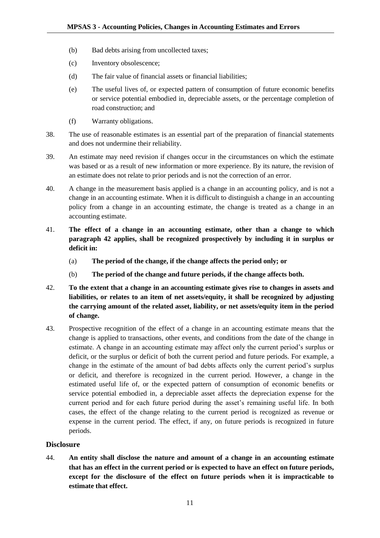- (b) Bad debts arising from uncollected taxes;
- (c) Inventory obsolescence;
- (d) The fair value of financial assets or financial liabilities;
- (e) The useful lives of, or expected pattern of consumption of future economic benefits or service potential embodied in, depreciable assets, or the percentage completion of road construction; and
- (f) Warranty obligations.
- 38. The use of reasonable estimates is an essential part of the preparation of financial statements and does not undermine their reliability.
- 39. An estimate may need revision if changes occur in the circumstances on which the estimate was based or as a result of new information or more experience. By its nature, the revision of an estimate does not relate to prior periods and is not the correction of an error.
- 40. A change in the measurement basis applied is a change in an accounting policy, and is not a change in an accounting estimate. When it is difficult to distinguish a change in an accounting policy from a change in an accounting estimate, the change is treated as a change in an accounting estimate.
- 41. **The effect of a change in an accounting estimate, other than a change to which paragraph 42 applies, shall be recognized prospectively by including it in surplus or deficit in:**
	- (a) **The period of the change, if the change affects the period only; or**
	- (b) **The period of the change and future periods, if the change affects both.**
- 42. **To the extent that a change in an accounting estimate gives rise to changes in assets and liabilities, or relates to an item of net assets/equity, it shall be recognized by adjusting the carrying amount of the related asset, liability, or net assets/equity item in the period of change.**
- 43. Prospective recognition of the effect of a change in an accounting estimate means that the change is applied to transactions, other events, and conditions from the date of the change in estimate. A change in an accounting estimate may affect only the current period's surplus or deficit, or the surplus or deficit of both the current period and future periods. For example, a change in the estimate of the amount of bad debts affects only the current period's surplus or deficit, and therefore is recognized in the current period. However, a change in the estimated useful life of, or the expected pattern of consumption of economic benefits or service potential embodied in, a depreciable asset affects the depreciation expense for the current period and for each future period during the asset's remaining useful life. In both cases, the effect of the change relating to the current period is recognized as revenue or expense in the current period. The effect, if any, on future periods is recognized in future periods.

#### **Disclosure**

44. **An entity shall disclose the nature and amount of a change in an accounting estimate that has an effect in the current period or is expected to have an effect on future periods, except for the disclosure of the effect on future periods when it is impracticable to estimate that effect.**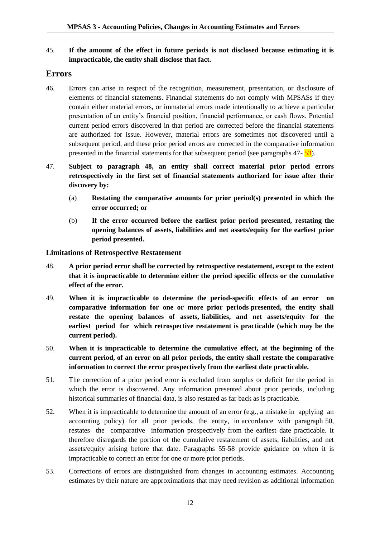#### 45. **If the amount of the effect in future periods is not disclosed because estimating it is impracticable, the entity shall disclose that fact.**

### **Errors**

- 46. Errors can arise in respect of the recognition, measurement, presentation, or disclosure of elements of financial statements. Financial statements do not comply with MPSASs if they contain either material errors, or immaterial errors made intentionally to achieve a particular presentation of an entity's financial position, financial performance, or cash flows. Potential current period errors discovered in that period are corrected before the financial statements are authorized for issue. However, material errors are sometimes not discovered until a subsequent period, and these prior period errors are corrected in the comparative information presented in the financial statements for that subsequent period (see paragraphs 47-  $\frac{53}{}$ ).
- 47. **Subject to paragraph 48, an entity shall correct material prior period errors retrospectively in the first set of financial statements authorized for issue after their discovery by:** 
	- (a) **Restating the comparative amounts for prior period(s) presented in which the error occurred; or**
	- (b) **If the error occurred before the earliest prior period presented, restating the opening balances of assets, liabilities and net assets/equity for the earliest prior period presented.**

#### **Limitations of Retrospective Restatement**

- 48. **A prior period error shall be corrected by retrospective restatement, except to the extent that it is impracticable to determine either the period specific effects or the cumulative effect of the error.**
- 49. **When it is impracticable to determine the period-specific effects of an error on comparative information for one or more prior periods presented, the entity shall restate the opening balances of assets, liabilities, and net assets/equity for the earliest period for which retrospective restatement is practicable (which may be the current period).**
- 50. **When it is impracticable to determine the cumulative effect, at the beginning of the current period, of an error on all prior periods, the entity shall restate the comparative information to correct the error prospectively from the earliest date practicable.**
- 51. The correction of a prior period error is excluded from surplus or deficit for the period in which the error is discovered. Any information presented about prior periods, including historical summaries of financial data, is also restated as far back as is practicable.
- 52. When it is impracticable to determine the amount of an error (e.g., a mistake in applying an accounting policy) for all prior periods, the entity, in accordance with paragraph 50, restates the comparative information prospectively from the earliest date practicable. It therefore disregards the portion of the cumulative restatement of assets, liabilities, and net assets/equity arising before that date. Paragraphs 55-58 provide guidance on when it is impracticable to correct an error for one or more prior periods.
- 53. Corrections of errors are distinguished from changes in accounting estimates. Accounting estimates by their nature are approximations that may need revision as additional information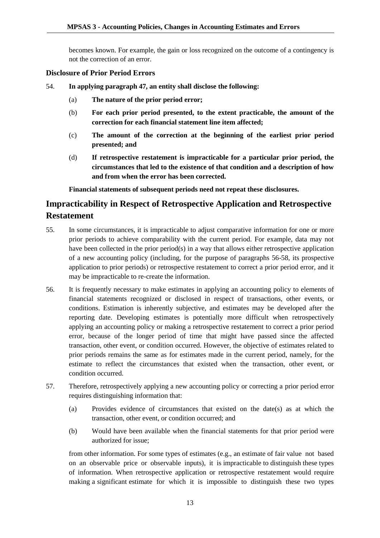becomes known. For example, the gain or loss recognized on the outcome of a contingency is not the correction of an error.

#### **Disclosure of Prior Period Errors**

- 54. **In applying paragraph 47, an entity shall disclose the following:**
	- (a) **The nature of the prior period error;**
	- (b) **For each prior period presented, to the extent practicable, the amount of the correction for each financial statement line item affected;**
	- (c) **The amount of the correction at the beginning of the earliest prior period presented; and**
	- (d) **If retrospective restatement is impracticable for a particular prior period, the circumstances that led to the existence of that condition and a description of how and from when the error has been corrected.**

**Financial statements of subsequent periods need not repeat these disclosures.** 

## **Impracticability in Respect of Retrospective Application and Retrospective Restatement**

- 55. In some circumstances, it is impracticable to adjust comparative information for one or more prior periods to achieve comparability with the current period. For example, data may not have been collected in the prior period(s) in a way that allows either retrospective application of a new accounting policy (including, for the purpose of paragraphs 56-58, its prospective application to prior periods) or retrospective restatement to correct a prior period error, and it may be impracticable to re-create the information.
- 56. It is frequently necessary to make estimates in applying an accounting policy to elements of financial statements recognized or disclosed in respect of transactions, other events, or conditions. Estimation is inherently subjective, and estimates may be developed after the reporting date. Developing estimates is potentially more difficult when retrospectively applying an accounting policy or making a retrospective restatement to correct a prior period error, because of the longer period of time that might have passed since the affected transaction, other event, or condition occurred. However, the objective of estimates related to prior periods remains the same as for estimates made in the current period, namely, for the estimate to reflect the circumstances that existed when the transaction, other event, or condition occurred.
- 57. Therefore, retrospectively applying a new accounting policy or correcting a prior period error requires distinguishing information that:
	- (a) Provides evidence of circumstances that existed on the date(s) as at which the transaction, other event, or condition occurred; and
	- (b) Would have been available when the financial statements for that prior period were authorized for issue;

from other information. For some types of estimates (e.g., an estimate of fair value not based on an observable price or observable inputs), it is impracticable to distinguish these types of information. When retrospective application or retrospective restatement would require making a significant estimate for which it is impossible to distinguish these two types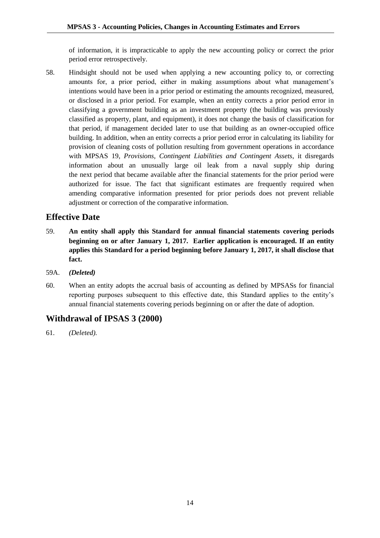of information, it is impracticable to apply the new accounting policy or correct the prior period error retrospectively.

58. Hindsight should not be used when applying a new accounting policy to, or correcting amounts for, a prior period, either in making assumptions about what management's intentions would have been in a prior period or estimating the amounts recognized, measured, or disclosed in a prior period. For example, when an entity corrects a prior period error in classifying a government building as an investment property (the building was previously classified as property, plant, and equipment), it does not change the basis of classification for that period, if management decided later to use that building as an owner-occupied office building. In addition, when an entity corrects a prior period error in calculating its liability for provision of cleaning costs of pollution resulting from government operations in accordance with MPSAS 19*, Provisions, Contingent Liabilities and Contingent Assets*, it disregards information about an unusually large oil leak from a naval supply ship during the next period that became available after the financial statements for the prior period were authorized for issue. The fact that significant estimates are frequently required when amending comparative information presented for prior periods does not prevent reliable adjustment or correction of the comparative information.

## **Effective Date**

- 59. **An entity shall apply this Standard for annual financial statements covering periods beginning on or after January 1, 2017. Earlier application is encouraged. If an entity applies this Standard for a period beginning before January 1, 2017, it shall disclose that fact.**
- 59A. *(Deleted)*
- 60. When an entity adopts the accrual basis of accounting as defined by MPSASs for financial reporting purposes subsequent to this effective date, this Standard applies to the entity's annual financial statements covering periods beginning on or after the date of adoption.

## **Withdrawal of IPSAS 3 (2000)**

61. *(Deleted).*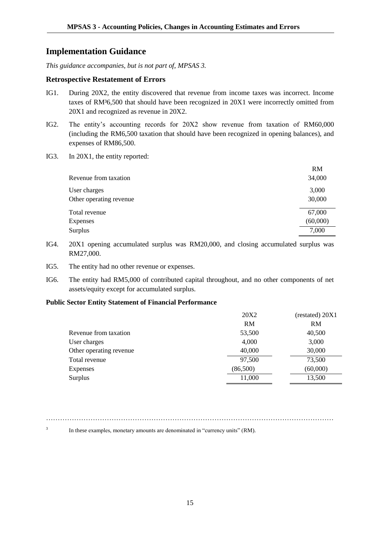## **Implementation Guidance**

*This guidance accompanies, but is not part of, MPSAS 3.* 

#### **Retrospective Restatement of Errors**

- IG1. During 20X2, the entity discovered that revenue from income taxes was incorrect. Income taxes of RM³6,500 that should have been recognized in 20X1 were incorrectly omitted from 20X1 and recognized as revenue in 20X2.
- IG2. The entity's accounting records for 20X2 show revenue from taxation of RM60,000 (including the RM6,500 taxation that should have been recognized in opening balances), and expenses of RM86,500.
- IG3. In 20X1, the entity reported:

|                         | <b>RM</b> |
|-------------------------|-----------|
| Revenue from taxation   | 34,000    |
| User charges            | 3,000     |
| Other operating revenue | 30,000    |
| Total revenue           | 67,000    |
| Expenses                | (60,000)  |
| Surplus                 | 7,000     |

- IG4. 20X1 opening accumulated surplus was RM20,000, and closing accumulated surplus was RM27,000.
- IG5. The entity had no other revenue or expenses.
- IG6. The entity had RM5,000 of contributed capital throughout, and no other components of net assets/equity except for accumulated surplus.

#### **Public Sector Entity Statement of Financial Performance**

|                         | 20X2      | (restated) 20X1 |
|-------------------------|-----------|-----------------|
|                         | <b>RM</b> | <b>RM</b>       |
| Revenue from taxation   | 53,500    | 40,500          |
| User charges            | 4,000     | 3,000           |
| Other operating revenue | 40,000    | 30,000          |
| Total revenue           | 97,500    | 73,500          |
| Expenses                | (86,500)  | (60,000)        |
| Surplus                 | 11,000    | 13,500          |
|                         |           |                 |

3

In these examples, monetary amounts are denominated in "currency units" (RM).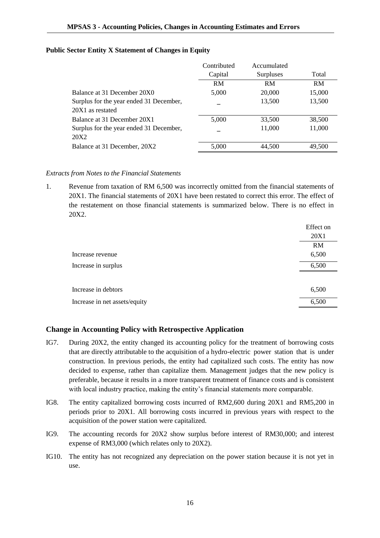|                                         | Contributed | Accumulated      |        |
|-----------------------------------------|-------------|------------------|--------|
|                                         | Capital     | <b>Surpluses</b> | Total  |
|                                         | <b>RM</b>   | <b>RM</b>        | RM     |
| Balance at 31 December 20X0             | 5,000       | 20,000           | 15,000 |
| Surplus for the year ended 31 December, |             | 13,500           | 13,500 |
| 20X1 as restated                        |             |                  |        |
| Balance at 31 December 20X1             | 5,000       | 33,500           | 38,500 |
| Surplus for the year ended 31 December, |             | 11,000           | 11,000 |
| 20X2                                    |             |                  |        |
| Balance at 31 December, 20X2            | 5,000       | 44,500           | 49,500 |

#### **Public Sector Entity X Statement of Changes in Equity**

#### *Extracts from Notes to the Financial Statements*

1. Revenue from taxation of RM 6,500 was incorrectly omitted from the financial statements of 20X1. The financial statements of 20X1 have been restated to correct this error. The effect of the restatement on those financial statements is summarized below. There is no effect in 20X2.

|                               | Effect on |
|-------------------------------|-----------|
|                               | 20X1      |
|                               | <b>RM</b> |
| Increase revenue              | 6,500     |
| Increase in surplus           | 6,500     |
|                               |           |
| Increase in debtors           | 6,500     |
| Increase in net assets/equity | 6,500     |
|                               |           |

#### **Change in Accounting Policy with Retrospective Application**

- IG7. During 20X2, the entity changed its accounting policy for the treatment of borrowing costs that are directly attributable to the acquisition of a hydro-electric power station that is under construction. In previous periods, the entity had capitalized such costs. The entity has now decided to expense, rather than capitalize them. Management judges that the new policy is preferable, because it results in a more transparent treatment of finance costs and is consistent with local industry practice, making the entity's financial statements more comparable.
- IG8. The entity capitalized borrowing costs incurred of RM2,600 during 20X1 and RM5,200 in periods prior to 20X1. All borrowing costs incurred in previous years with respect to the acquisition of the power station were capitalized.
- IG9. The accounting records for 20X2 show surplus before interest of RM30,000; and interest expense of RM3,000 (which relates only to 20X2).
- IG10. The entity has not recognized any depreciation on the power station because it is not yet in use.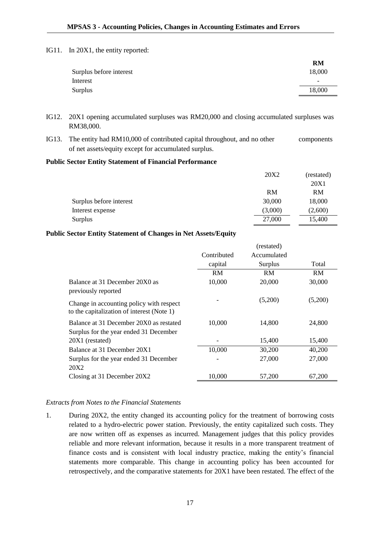IG11. In 20X1, the entity reported:

|                         | RM                       |
|-------------------------|--------------------------|
| Surplus before interest | 18,000                   |
| Interest                | $\overline{\phantom{a}}$ |
| <b>Surplus</b>          | 18,000                   |

- IG12. 20X1 opening accumulated surpluses was RM20,000 and closing accumulated surpluses was RM38,000.
- IG13. The entity had RM10,000 of contributed capital throughout, and no other components of net assets/equity except for accumulated surplus.

#### **Public Sector Entity Statement of Financial Performance**

|                         | 20X2      | (restated) |
|-------------------------|-----------|------------|
|                         |           | 20X1       |
|                         | <b>RM</b> | <b>RM</b>  |
| Surplus before interest | 30,000    | 18,000     |
| Interest expense        | (3,000)   | (2,600)    |
| Surplus                 | 27,000    | 15,400     |

#### **Public Sector Entity Statement of Changes in Net Assets/Equity**

|                                                                                        |             | (restated)     |           |
|----------------------------------------------------------------------------------------|-------------|----------------|-----------|
|                                                                                        | Contributed | Accumulated    |           |
|                                                                                        | capital     | <b>Surplus</b> | Total     |
|                                                                                        | <b>RM</b>   | RM             | <b>RM</b> |
| Balance at 31 December 20X0 as                                                         | 10,000      | 20,000         | 30,000    |
| previously reported                                                                    |             |                |           |
| Change in accounting policy with respect<br>to the capitalization of interest (Note 1) |             | (5,200)        | (5,200)   |
| Balance at 31 December 20X0 as restated                                                | 10,000      | 14,800         | 24,800    |
| Surplus for the year ended 31 December                                                 |             |                |           |
| 20X1 (restated)                                                                        |             | 15,400         | 15,400    |
| Balance at 31 December 20X1                                                            | 10,000      | 30,200         | 40,200    |
| Surplus for the year ended 31 December                                                 |             | 27,000         | 27,000    |
| 20X2                                                                                   |             |                |           |
| Closing at 31 December 20X2                                                            | 10,000      | 57,200         | 67,200    |

#### *Extracts from Notes to the Financial Statements*

1. During 20X2, the entity changed its accounting policy for the treatment of borrowing costs related to a hydro-electric power station. Previously, the entity capitalized such costs. They are now written off as expenses as incurred. Management judges that this policy provides reliable and more relevant information, because it results in a more transparent treatment of finance costs and is consistent with local industry practice, making the entity's financial statements more comparable. This change in accounting policy has been accounted for retrospectively, and the comparative statements for 20X1 have been restated. The effect of the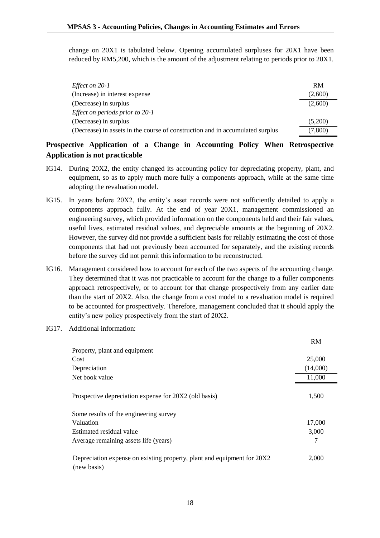change on 20X1 is tabulated below. Opening accumulated surpluses for 20X1 have been reduced by RM5,200, which is the amount of the adjustment relating to periods prior to 20X1.

| Effect on 20-1                                                                | <b>RM</b> |
|-------------------------------------------------------------------------------|-----------|
| (Increase) in interest expense                                                | (2,600)   |
| (Decrease) in surplus                                                         | (2,600)   |
| Effect on periods prior to 20-1                                               |           |
| (Decrease) in surplus                                                         | (5,200)   |
| (Decrease) in assets in the course of construction and in accumulated surplus | (7,800)   |

## **Prospective Application of a Change in Accounting Policy When Retrospective Application is not practicable**

- IG14. During 20X2, the entity changed its accounting policy for depreciating property, plant, and equipment, so as to apply much more fully a components approach, while at the same time adopting the revaluation model.
- IG15. In years before 20X2, the entity's asset records were not sufficiently detailed to apply a components approach fully. At the end of year 20X1, management commissioned an engineering survey, which provided information on the components held and their fair values, useful lives, estimated residual values, and depreciable amounts at the beginning of 20X2. However, the survey did not provide a sufficient basis for reliably estimating the cost of those components that had not previously been accounted for separately, and the existing records before the survey did not permit this information to be reconstructed.
- IG16. Management considered how to account for each of the two aspects of the accounting change. They determined that it was not practicable to account for the change to a fuller components approach retrospectively, or to account for that change prospectively from any earlier date than the start of 20X2. Also, the change from a cost model to a revaluation model is required to be accounted for prospectively. Therefore, management concluded that it should apply the entity's new policy prospectively from the start of 20X2.
- IG17. Additional information:

|                                                                                        | RM       |
|----------------------------------------------------------------------------------------|----------|
| Property, plant and equipment                                                          |          |
| Cost                                                                                   | 25,000   |
| Depreciation                                                                           | (14,000) |
| Net book value                                                                         | 11,000   |
| Prospective depreciation expense for 20X2 (old basis)                                  | 1,500    |
| Some results of the engineering survey                                                 |          |
| Valuation                                                                              | 17,000   |
| Estimated residual value                                                               | 3,000    |
| Average remaining assets life (years)                                                  | 7        |
| Depreciation expense on existing property, plant and equipment for 20X2<br>(new basis) | 2,000    |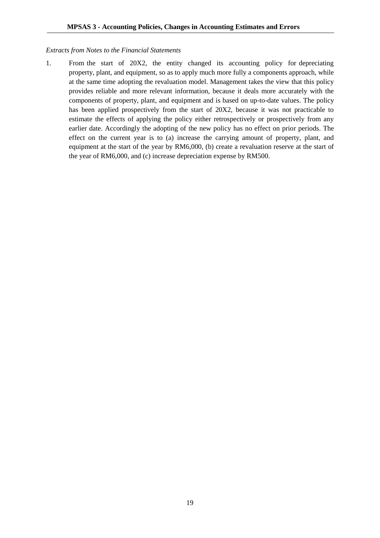#### *Extracts from Notes to the Financial Statements*

1. From the start of 20X2, the entity changed its accounting policy for depreciating property, plant, and equipment, so as to apply much more fully a components approach, while at the same time adopting the revaluation model. Management takes the view that this policy provides reliable and more relevant information, because it deals more accurately with the components of property, plant, and equipment and is based on up-to-date values. The policy has been applied prospectively from the start of 20X2, because it was not practicable to estimate the effects of applying the policy either retrospectively or prospectively from any earlier date. Accordingly the adopting of the new policy has no effect on prior periods. The effect on the current year is to (a) increase the carrying amount of property, plant, and equipment at the start of the year by RM6,000, (b) create a revaluation reserve at the start of the year of RM6,000, and (c) increase depreciation expense by RM500.